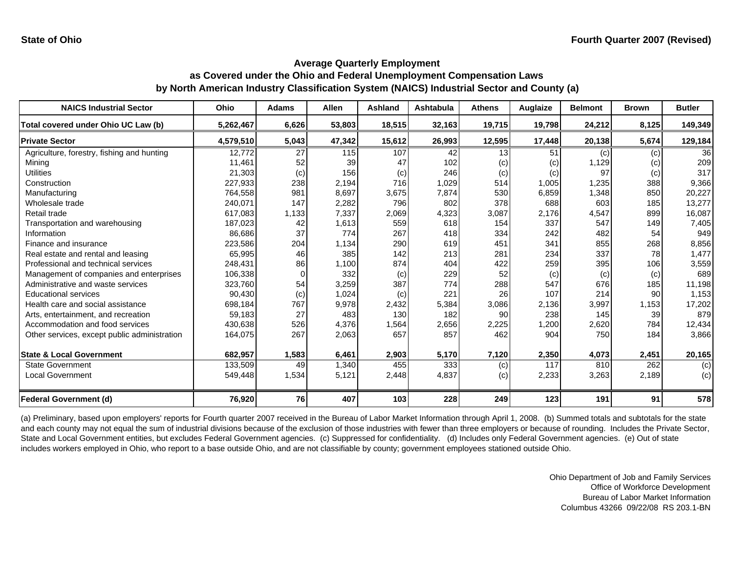| <b>NAICS Industrial Sector</b>               | <b>Ohio</b> | <b>Adams</b> | <b>Allen</b> | <b>Ashland</b> | Ashtabula | <b>Athens</b> | Auglaize | <b>Belmont</b> | <b>Brown</b> | <b>Butler</b> |
|----------------------------------------------|-------------|--------------|--------------|----------------|-----------|---------------|----------|----------------|--------------|---------------|
| Total covered under Ohio UC Law (b)          | 5,262,467   | 6,626        | 53,803       | 18,515         | 32,163    | 19,715        | 19,798   | 24,212         | 8,125        | 149,349       |
| <b>Private Sector</b>                        | 4,579,510   | 5,043        | 47,342       | 15,612         | 26,993    | 12,595        | 17,448   | 20,138         | 5,674        | 129,184       |
| Agriculture, forestry, fishing and hunting   | 12,772      | 27           | 115          | 107            | 42        | 13            | 51       | (c)            | (c)          | 36            |
| Mining                                       | 11.461      | 52           | 39           | 47             | 102       | (c)           | (c)      | 1,129          | (c)          | 209           |
| <b>Utilities</b>                             | 21,303      | (c)          | 156          | (c)            | 246       | (c)           | (c)      | 97             | (c)          | 317           |
| Construction                                 | 227,933     | 238          | 2,194        | 716            | 1,029     | 514           | 1,005    | 1,235          | 388          | 9,366         |
| Manufacturing                                | 764,558     | 981          | 8,697        | 3,675          | 7,874     | 530           | 6,859    | 1,348          | 850          | 20,227        |
| Wholesale trade                              | 240,071     | 147          | 2,282        | 796            | 802       | 378           | 688      | 603            | 185          | 13,277        |
| Retail trade                                 | 617.083     | 1,133        | 7,337        | 2,069          | 4,323     | 3,087         | 2,176    | 4,547          | 899          | 16,087        |
| Transportation and warehousing               | 187,023     | 42           | 1,613        | 559            | 618       | 154           | 337      | 547            | 149          | 7,405         |
| Information                                  | 86,686      | 37           | 774          | 267            | 418       | 334           | 242      | 482            | 54           | 949           |
| Finance and insurance                        | 223,586     | 204          | 1,134        | 290            | 619       | 451           | 341      | 855            | 268          | 8,856         |
| Real estate and rental and leasing           | 65,995      | 46           | 385          | 142            | 213       | 281           | 234      | 337            | 78           | 1,477         |
| Professional and technical services          | 248,431     | 86           | 1,100        | 874            | 404       | 422           | 259      | 395            | 106          | 3,559         |
| Management of companies and enterprises      | 106,338     | $\Omega$     | 332          | (c)            | 229       | 52            | (c)      | (c)            | (c)          | 689           |
| Administrative and waste services            | 323,760     | 54           | 3,259        | 387            | 774       | 288           | 547      | 676            | 185          | 11,198        |
| <b>Educational services</b>                  | 90,430      | (c)          | 1,024        | (c)            | 221       | 26            | 107      | 214            | 90           | 1,153         |
| Health care and social assistance            | 698,184     | 767          | 9,978        | 2,432          | 5,384     | 3,086         | 2,136    | 3,997          | 1,153        | 17,202        |
| Arts, entertainment, and recreation          | 59,183      | 27           | 483          | 130            | 182       | 90            | 238      | 145            | 39           | 879           |
| Accommodation and food services              | 430,638     | 526          | 4,376        | 1,564          | 2,656     | 2,225         | 1,200    | 2,620          | 784          | 12,434        |
| Other services, except public administration | 164,075     | 267          | 2,063        | 657            | 857       | 462           | 904      | 750            | 184          | 3,866         |
| <b>State &amp; Local Government</b>          | 682,957     | 1,583        | 6,461        | 2,903          | 5,170     | 7,120         | 2,350    | 4,073          | 2,451        | 20,165        |
| <b>State Government</b>                      | 133,509     | 49           | 1,340        | 455            | 333       | (c)           | 117      | 810            | 262          | (c)           |
| Local Government                             | 549,448     | 1,534        | 5,121        | 2,448          | 4,837     | (c)           | 2,233    | 3,263          | 2,189        | (c)           |
| <b>Federal Government (d)</b>                | 76,920      | 76           | 407          | 103            | 228       | 249           | 123      | 191            | 91           | 578           |

(a) Preliminary, based upon employers' reports for Fourth quarter 2007 received in the Bureau of Labor Market Information through April 1, 2008. (b) Summed totals and subtotals for the state and each county may not equal the sum of industrial divisions because of the exclusion of those industries with fewer than three employers or because of rounding. Includes the Private Sector, State and Local Government entities, but excludes Federal Government agencies. (c) Suppressed for confidentiality. (d) Includes only Federal Government agencies. (e) Out of state includes workers employed in Ohio, who report to a base outside Ohio, and are not classifiable by county; government employees stationed outside Ohio.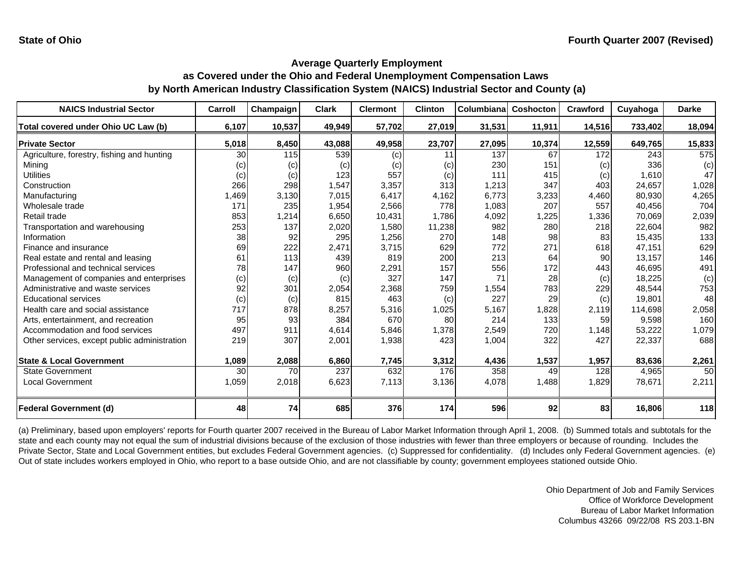| <b>NAICS Industrial Sector</b>               | Carroll | Champaign | <b>Clark</b> | <b>Clermont</b> | <b>Clinton</b> | Columbiana | <b>Coshocton</b> | Crawford | Cuyahoga | <b>Darke</b> |
|----------------------------------------------|---------|-----------|--------------|-----------------|----------------|------------|------------------|----------|----------|--------------|
| Total covered under Ohio UC Law (b)          | 6,107   | 10,537    | 49,949       | 57,702          | 27,019         | 31,531     | 11,911           | 14,516   | 733,402  | 18,094       |
| <b>Private Sector</b>                        | 5,018   | 8,450     | 43,088       | 49,958          | 23,707         | 27,095     | 10,374           | 12,559   | 649,765  | 15,833       |
| Agriculture, forestry, fishing and hunting   | 30      | 115       | 539          | (c)             | 11             | 137        | 67               | 172      | 243      | 575          |
| Minina                                       | (c)     | (c)       | (c)          | (c)             | (c)            | 230        | 151              | (c)      | 336      | (c)          |
| <b>Utilities</b>                             | (c)     | (c)       | 123          | 557             | (c)            | 111        | 415              | (c)      | 1.610    | 47           |
| Construction                                 | 266     | 298       | 1,547        | 3,357           | 313            | 1,213      | 347              | 403      | 24.657   | 1,028        |
| Manufacturing                                | 1,469   | 3,130     | 7,015        | 6,417           | 4,162          | 6,773      | 3,233            | 4,460    | 80,930   | 4,265        |
| Wholesale trade                              | 171     | 235       | 1,954        | 2,566           | 778            | 1,083      | 207              | 557      | 40,456   | 704          |
| Retail trade                                 | 853     | 1,214     | 6,650        | 10,431          | 1,786          | 4,092      | 1,225            | 1,336    | 70,069   | 2,039        |
| Transportation and warehousing               | 253     | 137       | 2,020        | 1,580           | 11,238         | 982        | 280              | 218      | 22,604   | 982          |
| Information                                  | 38      | 92        | 295          | 1,256           | 270            | 148        | 98               | 83       | 15,435   | 133          |
| Finance and insurance                        | 69      | 222       | 2,471        | 3,715           | 629            | 772        | 271              | 618      | 47,151   | 629          |
| Real estate and rental and leasing           | 61      | 113       | 439          | 819             | 200            | 213        | 64               | 90       | 13,157   | 146          |
| Professional and technical services          | 78      | 147       | 960          | 2,291           | 157            | 556        | 172              | 443      | 46,695   | 491          |
| Management of companies and enterprises      | (c)     | (c)       | (c)          | 327             | 147            | 71         | 28               | (c)      | 18,225   | (c)          |
| Administrative and waste services            | 92      | 301       | 2,054        | 2,368           | 759            | 1,554      | 783              | 229      | 48,544   | 753          |
| <b>Educational services</b>                  | (c)     | (c)       | 815          | 463             | (c)            | 227        | 29               | (c)      | 19,801   | 48           |
| Health care and social assistance            | 717     | 878       | 8,257        | 5,316           | 1,025          | 5,167      | 1,828            | 2.119    | 114.698  | 2,058        |
| Arts, entertainment, and recreation          | 95      | 93        | 384          | 670             | 80             | 214        | 133              | 59       | 9,598    | 160          |
| Accommodation and food services              | 497     | 911       | 4,614        | 5,846           | 1,378          | 2,549      | 720              | 1,148    | 53,222   | 1,079        |
| Other services, except public administration | 219     | 307       | 2,001        | 1,938           | 423            | 1,004      | 322              | 427      | 22,337   | 688          |
|                                              |         |           |              |                 |                |            |                  |          |          |              |
| <b>State &amp; Local Government</b>          | 1,089   | 2,088     | 6,860        | 7,745           | 3,312          | 4,436      | 1,537            | 1,957    | 83,636   | 2,261        |
| <b>State Government</b>                      | 30      | 70        | 237          | 632             | 176            | 358        | 49               | 128      | 4,965    | 50           |
| Local Government                             | 1,059   | 2,018     | 6,623        | 7,113           | 3,136          | 4,078      | 1,488            | 1,829    | 78,671   | 2,211        |
| <b>Federal Government (d)</b>                | 48      | 74        | 685          | 376             | 174            | 596        | 92               | 83       | 16,806   | 118          |

(a) Preliminary, based upon employers' reports for Fourth quarter 2007 received in the Bureau of Labor Market Information through April 1, 2008. (b) Summed totals and subtotals for the state and each county may not equal the sum of industrial divisions because of the exclusion of those industries with fewer than three employers or because of rounding. Includes the Private Sector, State and Local Government entities, but excludes Federal Government agencies. (c) Suppressed for confidentiality. (d) Includes only Federal Government agencies. (e) Out of state includes workers employed in Ohio, who report to a base outside Ohio, and are not classifiable by county; government employees stationed outside Ohio.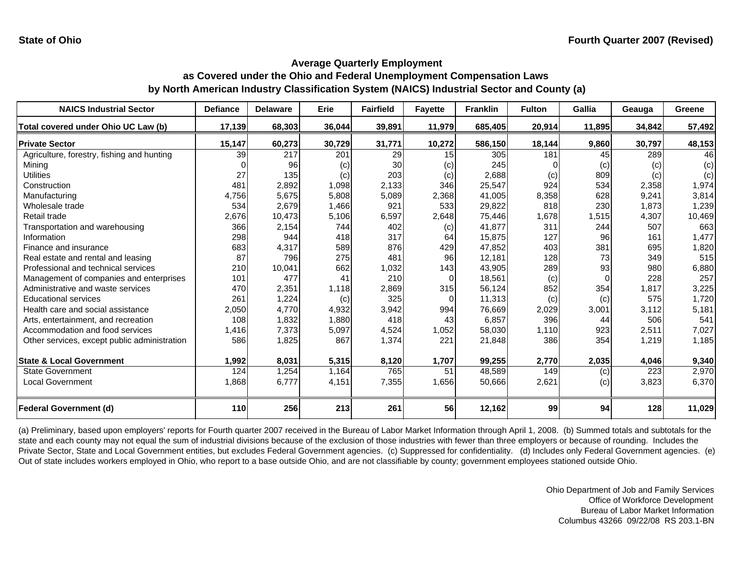| <b>NAICS Industrial Sector</b>               | <b>Defiance</b> | <b>Delaware</b> | Erie   | <b>Fairfield</b> | <b>Fayette</b> | <b>Franklin</b> | <b>Fulton</b> | <b>Gallia</b> | Geauga | Greene |
|----------------------------------------------|-----------------|-----------------|--------|------------------|----------------|-----------------|---------------|---------------|--------|--------|
| Total covered under Ohio UC Law (b)          | 17,139          | 68,303          | 36,044 | 39,891           | 11,979         | 685,405         | 20,914        | 11,895        | 34,842 | 57,492 |
| <b>Private Sector</b>                        | 15,147          | 60,273          | 30,729 | 31,771           | 10,272         | 586,150         | 18,144        | 9,860         | 30,797 | 48,153 |
| Agriculture, forestry, fishing and hunting   | 39              | 217             | 201    | 29               | 15             | 305             | 181           | 45            | 289    | 46     |
| Mining                                       | n               | 96              | (c)    | 30               | (c)            | 245             |               | (c)           | (c)    | (c)    |
| <b>Utilities</b>                             | 27              | 135             | (c)    | 203              | (c)            | 2,688           | (c)           | 809           | (c)    | (c)    |
| Construction                                 | 481             | 2,892           | 1,098  | 2,133            | 346            | 25,547          | 924           | 534           | 2,358  | 1,974  |
| Manufacturing                                | 4,756           | 5,675           | 5,808  | 5,089            | 2,368          | 41,005          | 8,358         | 628           | 9,241  | 3,814  |
| Wholesale trade                              | 534             | 2,679           | 1,466  | 921              | 533            | 29,822          | 818           | 230           | 1.873  | 1,239  |
| Retail trade                                 | 2,676           | 10,473          | 5,106  | 6,597            | 2,648          | 75,446          | 1,678         | 1,515         | 4,307  | 10,469 |
| Transportation and warehousing               | 366             | 2,154           | 744    | 402              | (c)            | 41,877          | 311           | 244           | 507    | 663    |
| Information                                  | 298             | 944             | 418    | 317              | 64             | 15,875          | 127           | 96            | 161    | 1,477  |
| Finance and insurance                        | 683             | 4,317           | 589    | 876              | 429            | 47,852          | 403           | 381           | 695    | 1,820  |
| Real estate and rental and leasing           | 87              | 796             | 275    | 481              | 96             | 12,181          | 128           | 73            | 349    | 515    |
| Professional and technical services          | 210             | 10,041          | 662    | 1,032            | 143            | 43,905          | 289           | 93            | 980    | 6,880  |
| Management of companies and enterprises      | 101             | 477             | 41     | 210              | $\Omega$       | 18,561          | (c)           | $\Omega$      | 228    | 257    |
| Administrative and waste services            | 470             | 2,351           | 1,118  | 2,869            | 315            | 56,124          | 852           | 354           | 1,817  | 3,225  |
| <b>Educational services</b>                  | 261             | 1,224           | (c)    | 325              | $\Omega$       | 11,313          | (c)           | (c)           | 575    | 1,720  |
| Health care and social assistance            | 2,050           | 4,770           | 4,932  | 3,942            | 994            | 76,669          | 2,029         | 3,001         | 3,112  | 5,181  |
| Arts, entertainment, and recreation          | 108             | 1,832           | 1,880  | 418              | 43             | 6,857           | 396           | 44            | 506    | 541    |
| Accommodation and food services              | 1,416           | 7,373           | 5,097  | 4,524            | 1,052          | 58,030          | 1,110         | 923           | 2,511  | 7,027  |
| Other services, except public administration | 586             | 1,825           | 867    | 1,374            | 221            | 21,848          | 386           | 354           | 1,219  | 1,185  |
| <b>State &amp; Local Government</b>          | 1,992           | 8,031           | 5,315  | 8,120            | 1,707          | 99,255          | 2,770         | 2,035         | 4,046  | 9,340  |
| <b>State Government</b>                      | 124             | 1,254           | 1,164  | 765              | 51             | 48,589          | 149           | (c)           | 223    | 2,970  |
| <b>Local Government</b>                      | 1,868           | 6,777           | 4,151  | 7,355            | 1,656          | 50,666          | 2,621         | (c)           | 3,823  | 6,370  |
| <b>Federal Government (d)</b>                | 110             | 256             | 213    | 261              | 56             | 12,162          | 99            | 94            | 128    | 11,029 |

(a) Preliminary, based upon employers' reports for Fourth quarter 2007 received in the Bureau of Labor Market Information through April 1, 2008. (b) Summed totals and subtotals for the state and each county may not equal the sum of industrial divisions because of the exclusion of those industries with fewer than three employers or because of rounding. Includes the Private Sector, State and Local Government entities, but excludes Federal Government agencies. (c) Suppressed for confidentiality. (d) Includes only Federal Government agencies. (e) Out of state includes workers employed in Ohio, who report to a base outside Ohio, and are not classifiable by county; government employees stationed outside Ohio.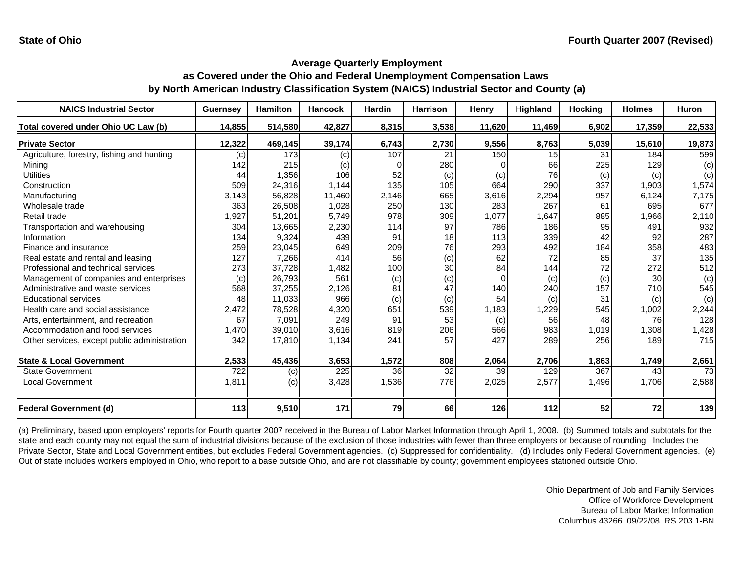| <b>NAICS Industrial Sector</b>               | <b>Guernsey</b> | <b>Hamilton</b> | <b>Hancock</b> | Hardin   | <b>Harrison</b> | Henry  | Highland | <b>Hocking</b> | <b>Holmes</b> | <b>Huron</b> |
|----------------------------------------------|-----------------|-----------------|----------------|----------|-----------------|--------|----------|----------------|---------------|--------------|
| Total covered under Ohio UC Law (b)          | 14,855          | 514,580         | 42,827         | 8,315    | 3,538           | 11,620 | 11,469   | 6,902          | 17,359        | 22,533       |
| <b>Private Sector</b>                        | 12,322          | 469,145         | 39,174         | 6,743    | 2,730           | 9,556  | 8,763    | 5,039          | 15,610        | 19,873       |
| Agriculture, forestry, fishing and hunting   | (c)             | 173             | (c)            | 107      | 21              | 150    | 15       | 31             | 184           | 599          |
| Minina                                       | 142             | 215             | (c)            | $\Omega$ | 280             |        | 66       | 225            | 129           | (c)          |
| <b>Utilities</b>                             | 44              | 1,356           | 106            | 52       | (c)             | (c)    | 76       | (c)            | (c)           | (c)          |
| Construction                                 | 509             | 24,316          | 1,144          | 135      | 105             | 664    | 290      | 337            | 1,903         | 1,574        |
| Manufacturing                                | 3,143           | 56,828          | 11,460         | 2,146    | 665             | 3,616  | 2,294    | 957            | 6,124         | 7,175        |
| Wholesale trade                              | 363             | 26,508          | 1,028          | 250      | 130             | 283    | 267      | 61             | 695           | 677          |
| Retail trade                                 | 1,927           | 51,201          | 5,749          | 978      | 309             | 1,077  | 1,647    | 885            | 1,966         | 2,110        |
| Transportation and warehousing               | 304             | 13,665          | 2,230          | 114      | 97              | 786    | 186      | 95             | 491           | 932          |
| Information                                  | 134             | 9,324           | 439            | 91       | 18              | 113    | 339      | 42             | 92            | 287          |
| Finance and insurance                        | 259             | 23,045          | 649            | 209      | 76              | 293    | 492      | 184            | 358           | 483          |
| Real estate and rental and leasing           | 127             | 7,266           | 414            | 56       | (c)             | 62     | 72       | 85             | 37            | 135          |
| Professional and technical services          | 273             | 37,728          | 1,482          | 100      | 30              | 84     | 144      | 72             | 272           | 512          |
| Management of companies and enterprises      | (c)             | 26,793          | 561            | (c)      | (c)             |        | (c)      | (c)            | 30            | (c)          |
| Administrative and waste services            | 568             | 37,255          | 2,126          | 81       | 47              | 140    | 240      | 157            | 710           | 545          |
| <b>Educational services</b>                  | 48              | 11,033          | 966            | (c)      | (c)             | 54     | (c)      | 31             | (c)           | (c)          |
| Health care and social assistance            | 2,472           | 78,528          | 4,320          | 651      | 539             | 1,183  | 1,229    | 545            | 1,002         | 2,244        |
| Arts, entertainment, and recreation          | 67              | 7,091           | 249            | 91       | 53              | (c)    | 56       | 48             | 76            | 128          |
| Accommodation and food services              | 1,470           | 39,010          | 3,616          | 819      | 206             | 566    | 983      | 1,019          | 1,308         | 1,428        |
| Other services, except public administration | 342             | 17,810          | 1,134          | 241      | 57              | 427    | 289      | 256            | 189           | 715          |
|                                              |                 |                 |                |          |                 |        |          |                |               |              |
| <b>State &amp; Local Government</b>          | 2,533           | 45,436          | 3,653          | 1,572    | 808             | 2,064  | 2,706    | 1,863          | 1,749         | 2,661        |
| <b>State Government</b>                      | 722             | (c)             | 225            | 36       | 32              | 39     | 129      | 367            | 43            | 73           |
| Local Government                             | 1,811           | (c)             | 3,428          | 1,536    | 776             | 2,025  | 2,577    | 1,496          | 1,706         | 2,588        |
| <b>Federal Government (d)</b>                | 113             | 9,510           | 171            | 79       | 66              | 126    | $112$    | 52             | 72            | 139          |

(a) Preliminary, based upon employers' reports for Fourth quarter 2007 received in the Bureau of Labor Market Information through April 1, 2008. (b) Summed totals and subtotals for the state and each county may not equal the sum of industrial divisions because of the exclusion of those industries with fewer than three employers or because of rounding. Includes the Private Sector, State and Local Government entities, but excludes Federal Government agencies. (c) Suppressed for confidentiality. (d) Includes only Federal Government agencies. (e) Out of state includes workers employed in Ohio, who report to a base outside Ohio, and are not classifiable by county; government employees stationed outside Ohio.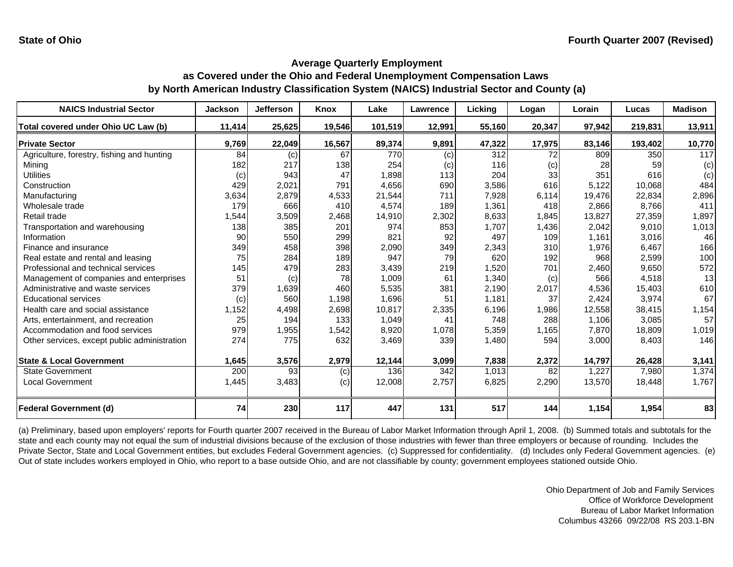| <b>NAICS Industrial Sector</b>               | <b>Jackson</b> | <b>Jefferson</b> | Knox   | Lake    | Lawrence | Licking | Logan  | Lorain | Lucas   | <b>Madison</b> |
|----------------------------------------------|----------------|------------------|--------|---------|----------|---------|--------|--------|---------|----------------|
| Total covered under Ohio UC Law (b)          | 11,414         | 25,625           | 19,546 | 101,519 | 12,991   | 55,160  | 20,347 | 97,942 | 219,831 | 13,911         |
| <b>Private Sector</b>                        | 9,769          | 22,049           | 16,567 | 89,374  | 9,891    | 47,322  | 17,975 | 83,146 | 193,402 | 10,770         |
| Agriculture, forestry, fishing and hunting   | 84             | (c)              | 67     | 770     | (c)      | 312     | 72     | 809    | 350     | 117            |
| Minina                                       | 182            | 217              | 138    | 254     | (c)      | 116     | (c)    | 28     | 59      | (c)            |
| <b>Utilities</b>                             | (c)            | 943              | 47     | 1,898   | 113      | 204     | 33     | 351    | 616     | (c)            |
| Construction                                 | 429            | 2,021            | 791    | 4,656   | 690      | 3,586   | 616    | 5,122  | 10,068  | 484            |
| Manufacturing                                | 3,634          | 2,879            | 4,533  | 21,544  | 711      | 7,928   | 6,114  | 19,476 | 22,834  | 2,896          |
| Wholesale trade                              | 179            | 666              | 410    | 4,574   | 189      | 1,361   | 418    | 2,866  | 8,766   | 411            |
| Retail trade                                 | ,544           | 3,509            | 2,468  | 14,910  | 2,302    | 8,633   | 1,845  | 13,827 | 27,359  | 1,897          |
| Transportation and warehousing               | 138            | 385              | 201    | 974     | 853      | 1,707   | 1,436  | 2,042  | 9,010   | 1,013          |
| Information                                  | 90             | 550              | 299    | 821     | 92       | 497     | 109    | 1,161  | 3,016   | 46             |
| Finance and insurance                        | 349            | 458              | 398    | 2,090   | 349      | 2,343   | 310    | 1,976  | 6,467   | 166            |
| Real estate and rental and leasing           | 75             | 284              | 189    | 947     | 79       | 620     | 192    | 968    | 2,599   | 100            |
| Professional and technical services          | 145            | 479              | 283    | 3,439   | 219      | 1,520   | 701    | 2,460  | 9,650   | 572            |
| Management of companies and enterprises      | 51             | (c)              | 78     | 1,009   | 61       | 1,340   | (c)    | 566    | 4,518   | 13             |
| Administrative and waste services            | 379            | 1,639            | 460    | 5,535   | 381      | 2,190   | 2,017  | 4,536  | 15,403  | 610            |
| <b>Educational services</b>                  | (c)            | 560              | 1,198  | 1,696   | 51       | 1,181   | 37     | 2,424  | 3,974   | 67             |
| Health care and social assistance            | 1,152          | 4,498            | 2,698  | 10,817  | 2,335    | 6,196   | 1,986  | 12,558 | 38,415  | 1,154          |
| Arts, entertainment, and recreation          | 25             | 194              | 133    | 1,049   | 41       | 748     | 288    | 1,106  | 3,085   | 57             |
| Accommodation and food services              | 979            | 1,955            | 1,542  | 8,920   | 1,078    | 5,359   | 1,165  | 7,870  | 18,809  | 1,019          |
| Other services, except public administration | 274            | 775              | 632    | 3,469   | 339      | 1,480   | 594    | 3,000  | 8,403   | 146            |
|                                              |                |                  |        |         |          |         |        |        |         |                |
| <b>State &amp; Local Government</b>          | 1,645          | 3,576            | 2,979  | 12,144  | 3,099    | 7,838   | 2,372  | 14,797 | 26,428  | 3,141          |
| <b>State Government</b>                      | 200            | 93               | (c)    | 136     | 342      | 1,013   | 82     | 1,227  | 7,980   | 1,374          |
| <b>Local Government</b>                      | 1,445          | 3,483            | (c)    | 12,008  | 2,757    | 6,825   | 2,290  | 13,570 | 18,448  | 1,767          |
| <b>Federal Government (d)</b>                | 74             | 230              | 117    | 447     | 131      | 517     | 144    | 1,154  | 1,954   | 83             |

(a) Preliminary, based upon employers' reports for Fourth quarter 2007 received in the Bureau of Labor Market Information through April 1, 2008. (b) Summed totals and subtotals for the state and each county may not equal the sum of industrial divisions because of the exclusion of those industries with fewer than three employers or because of rounding. Includes the Private Sector, State and Local Government entities, but excludes Federal Government agencies. (c) Suppressed for confidentiality. (d) Includes only Federal Government agencies. (e) Out of state includes workers employed in Ohio, who report to a base outside Ohio, and are not classifiable by county; government employees stationed outside Ohio.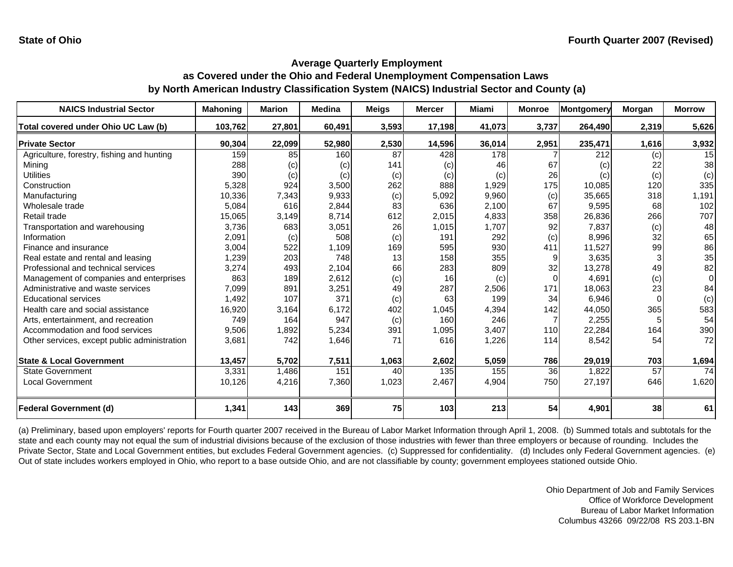| <b>NAICS Industrial Sector</b>               | <b>Mahoning</b> | <b>Marion</b> | <b>Medina</b> | <b>Meigs</b> | <b>Mercer</b> | <b>Miami</b> | <b>Monroe</b> | Montgomery | <b>Morgan</b> | <b>Morrow</b> |
|----------------------------------------------|-----------------|---------------|---------------|--------------|---------------|--------------|---------------|------------|---------------|---------------|
| Total covered under Ohio UC Law (b)          | 103,762         | 27,801        | 60,491        | 3,593        | 17,198        | 41,073       | 3,737         | 264,490    | 2,319         | 5,626         |
| <b>Private Sector</b>                        | 90,304          | 22,099        | 52,980        | 2,530        | 14,596        | 36,014       | 2,951         | 235,471    | 1,616         | 3,932         |
| Agriculture, forestry, fishing and hunting   | 159             | 85            | 160           | 87           | 428           | 178          |               | 212        | (c)           | 15            |
| Mining                                       | 288             | (c)           | (c)           | 141          | (c)           | 46           | 67            | (c)        | 22            | 38            |
| <b>Utilities</b>                             | 390             | (c)           | (c)           | (c)          | (c)           | (c)          | 26            | (c)        | (c)           | (c)           |
| Construction                                 | 5,328           | 924           | 3,500         | 262          | 888           | 1,929        | 175           | 10,085     | 120           | 335           |
| Manufacturing                                | 10,336          | 7,343         | 9,933         | (c)          | 5,092         | 9,960        | (c)           | 35,665     | 318           | 1,191         |
| Wholesale trade                              | 5,084           | 616           | 2,844         | 83           | 636           | 2,100        | 67            | 9,595      | 68            | 102           |
| Retail trade                                 | 15,065          | 3,149         | 8,714         | 612          | 2,015         | 4,833        | 358           | 26,836     | 266           | 707           |
| Transportation and warehousing               | 3,736           | 683           | 3,051         | 26           | 1,015         | 1,707        | 92            | 7.837      | (c)           | 48            |
| Information                                  | 2,091           | (c)           | 508           | (c)          | 191           | 292          | (c)           | 8,996      | 32            | 65            |
| Finance and insurance                        | 3,004           | 522           | 1,109         | 169          | 595           | 930          | 411           | 11,527     | 99            | 86            |
| Real estate and rental and leasing           | 1,239           | 203           | 748           | 13           | 158           | 355          |               | 3,635      |               | 35            |
| Professional and technical services          | 3,274           | 493           | 2,104         | 66           | 283           | 809          | 32            | 13,278     | 49            | 82            |
| Management of companies and enterprises      | 863             | 189           | 2,612         | (c)          | 16            | (c)          | $\Omega$      | 4,691      | (c)           | $\Omega$      |
| Administrative and waste services            | 7,099           | 891           | 3,251         | 49           | 287           | 2,506        | 171           | 18,063     | 23            | 84            |
| <b>Educational services</b>                  | 1,492           | 107           | 371           | (c)          | 63            | 199          | 34            | 6,946      | $\Omega$      | (c)           |
| Health care and social assistance            | 16,920          | 3,164         | 6,172         | 402          | 1,045         | 4,394        | 142           | 44,050     | 365           | 583           |
| Arts, entertainment, and recreation          | 749             | 164           | 947           | (c)          | 160           | 246          |               | 2,255      |               | 54            |
| Accommodation and food services              | 9,506           | 1,892         | 5,234         | 391          | 1,095         | 3,407        | 110           | 22,284     | 164           | 390           |
| Other services, except public administration | 3,681           | 742           | 1,646         | 71           | 616           | 1,226        | 114           | 8,542      | 54            | 72            |
| <b>State &amp; Local Government</b>          | 13,457          | 5,702         | 7,511         | 1,063        | 2,602         | 5,059        | 786           | 29,019     | 703           | 1,694         |
| State Government                             | 3,331           | 1,486         | 151           | 40           | 135           | 155          | 36            | 1,822      | 57            | 74            |
| <b>Local Government</b>                      | 10,126          | 4,216         | 7,360         | 1,023        | 2,467         | 4,904        | 750           | 27,197     | 646           | 1,620         |
| Federal Government (d)                       | 1,341           | 143           | 369           | 75           | 103           | 213          | 54            | 4,901      | 38            | 61            |

(a) Preliminary, based upon employers' reports for Fourth quarter 2007 received in the Bureau of Labor Market Information through April 1, 2008. (b) Summed totals and subtotals for the state and each county may not equal the sum of industrial divisions because of the exclusion of those industries with fewer than three employers or because of rounding. Includes the Private Sector, State and Local Government entities, but excludes Federal Government agencies. (c) Suppressed for confidentiality. (d) Includes only Federal Government agencies. (e) Out of state includes workers employed in Ohio, who report to a base outside Ohio, and are not classifiable by county; government employees stationed outside Ohio.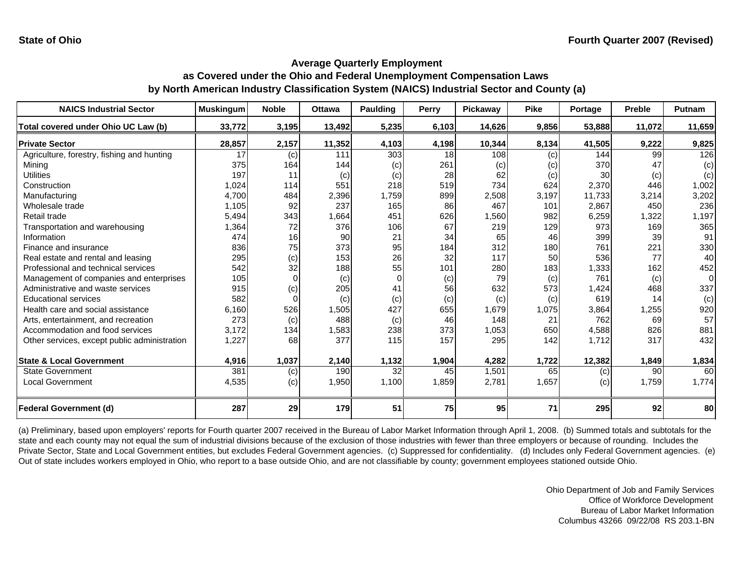| <b>NAICS Industrial Sector</b>               | <b>Muskingum</b> | <b>Noble</b> | <b>Ottawa</b> | <b>Paulding</b> | Perry | Pickaway | <b>Pike</b> | Portage | <b>Preble</b> | Putnam         |
|----------------------------------------------|------------------|--------------|---------------|-----------------|-------|----------|-------------|---------|---------------|----------------|
| Total covered under Ohio UC Law (b)          | 33,772           | 3,195        | 13,492        | 5,235           | 6,103 | 14,626   | 9,856       | 53,888  | 11,072        | 11,659         |
| <b>Private Sector</b>                        | 28,857           | 2,157        | 11,352        | 4,103           | 4,198 | 10,344   | 8,134       | 41,505  | 9,222         | 9,825          |
| Agriculture, forestry, fishing and hunting   | 17               | (c)          | 111           | 303             | 18    | 108      | (c)         | 144     | 99            | 126            |
| Minina                                       | 375              | 164          | 144           | (c)             | 261   | (c)      | (c)         | 370     | 47            | (c)            |
| <b>Utilities</b>                             | 197              | 11           | (c)           | (c)             | 28    | 62       | (c)         | 30      | (c)           | (c)            |
| Construction                                 | 1,024            | 114          | 551           | 218             | 519   | 734      | 624         | 2,370   | 446           | 1,002          |
| Manufacturing                                | 4,700            | 484          | 2,396         | 1,759           | 899   | 2,508    | 3,197       | 11,733  | 3,214         | 3,202          |
| Wholesale trade                              | 1,105            | 92           | 237           | 165             | 86    | 467      | 101         | 2,867   | 450           | 236            |
| Retail trade                                 | 5,494            | 343          | 1,664         | 451             | 626   | 1,560    | 982         | 6,259   | 1,322         | 1,197          |
| Transportation and warehousing               | 1,364            | 72           | 376           | 106             | 67    | 219      | 129         | 973     | 169           | 365            |
| Information                                  | 474              | 16           | 90            | 21              | 34    | 65       | 46          | 399     | 39            | 91             |
| Finance and insurance                        | 836              | 75           | 373           | 95              | 184   | 312      | 180         | 761     | 221           | 330            |
| Real estate and rental and leasing           | 295              | (c)          | 153           | 26              | 32    | 117      | 50          | 536     | 77            | 40             |
| Professional and technical services          | 542              | 32           | 188           | 55              | 101   | 280      | 183         | 1,333   | 162           | 452            |
| Management of companies and enterprises      | 105              | $\Omega$     | (c)           | $\Omega$        | (c)   | 79       | (c)         | 761     | (c)           | $\overline{0}$ |
| Administrative and waste services            | 915              | (c)          | 205           | 41              | 56    | 632      | 573         | 1,424   | 468           | 337            |
| <b>Educational services</b>                  | 582              |              | (c)           | (c)             | (c)   | (c)      | (c)         | 619     | 14            | (c)            |
| Health care and social assistance            | 6,160            | 526          | 1,505         | 427             | 655   | 1,679    | 1,075       | 3,864   | 1,255         | 920            |
| Arts, entertainment, and recreation          | 273              | (c)          | 488           | (c)             | 46    | 148      | 21          | 762     | 69            | 57             |
| Accommodation and food services              | 3,172            | 134          | 1,583         | 238             | 373   | 1,053    | 650         | 4,588   | 826           | 881            |
| Other services, except public administration | 1,227            | 68           | 377           | 115             | 157   | 295      | 142         | 1,712   | 317           | 432            |
| <b>State &amp; Local Government</b>          | 4,916            | 1,037        | 2,140         | 1,132           | 1,904 | 4,282    | 1,722       | 12,382  | 1,849         | 1,834          |
| <b>State Government</b>                      | 381              | (c)          | 190           | 32              | 45    | 1,501    | 65          | (c)     | 90            | 60             |
| <b>Local Government</b>                      | 4,535            | (c)          | 1,950         | 1,100           | 1,859 | 2,781    | 1,657       | (c)     | 1,759         | 1,774          |
|                                              |                  |              |               |                 |       |          |             |         |               |                |
| <b>Federal Government (d)</b>                | 287              | 29           | 179           | 51              | 75    | 95       | 71          | 295     | 92            | 80             |

(a) Preliminary, based upon employers' reports for Fourth quarter 2007 received in the Bureau of Labor Market Information through April 1, 2008. (b) Summed totals and subtotals for the state and each county may not equal the sum of industrial divisions because of the exclusion of those industries with fewer than three employers or because of rounding. Includes the Private Sector, State and Local Government entities, but excludes Federal Government agencies. (c) Suppressed for confidentiality. (d) Includes only Federal Government agencies. (e) Out of state includes workers employed in Ohio, who report to a base outside Ohio, and are not classifiable by county; government employees stationed outside Ohio.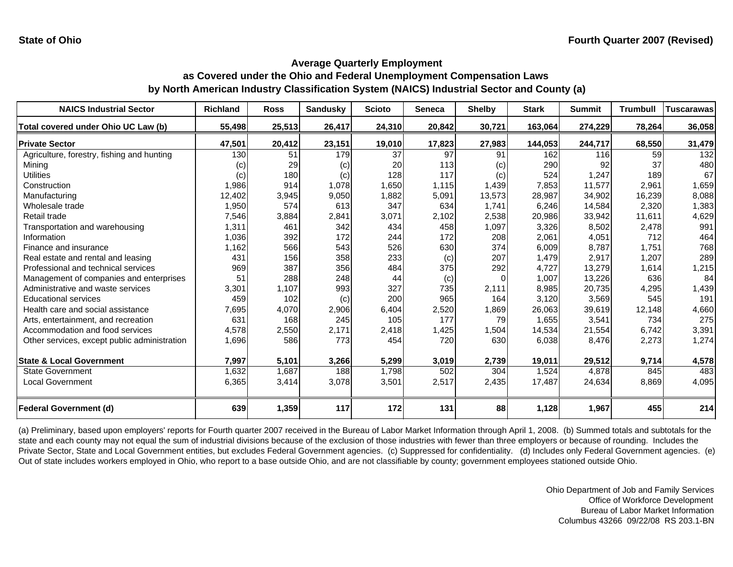| <b>NAICS Industrial Sector</b>               | <b>Richland</b> | <b>Ross</b> | <b>Sandusky</b> | <b>Scioto</b> | <b>Seneca</b> | <b>Shelby</b> | <b>Stark</b> | <b>Summit</b> | <b>Trumbull</b> | Tuscarawas |
|----------------------------------------------|-----------------|-------------|-----------------|---------------|---------------|---------------|--------------|---------------|-----------------|------------|
| Total covered under Ohio UC Law (b)          | 55,498          | 25,513      | 26,417          | 24,310        | 20,842        | 30,721        | 163,064      | 274,229       | 78,264          | 36,058     |
| <b>Private Sector</b>                        | 47,501          | 20,412      | 23,151          | 19,010        | 17,823        | 27,983        | 144,053      | 244,717       | 68,550          | 31,479     |
| Agriculture, forestry, fishing and hunting   | 130             | 51          | 179             | 37            | 97            | 91            | 162          | 116           | 59              | 132        |
| Minina                                       | (c)             | 29          | (c)             | 20            | 113           | (c)           | 290          | 92            | 37              | 480        |
| <b>Utilities</b>                             | (c)             | 180         | (c)             | 128           | 117           | (c)           | 524          | 1,247         | 189             | 67         |
| Construction                                 | 1,986           | 914         | 1,078           | 1,650         | 1,115         | 1,439         | 7,853        | 11,577        | 2,961           | 1,659      |
| Manufacturing                                | 12,402          | 3,945       | 9,050           | 1,882         | 5,091         | 13,573        | 28,987       | 34,902        | 16,239          | 8,088      |
| Wholesale trade                              | 1,950           | 574         | 613             | 347           | 634           | 1,741         | 6,246        | 14,584        | 2,320           | 1,383      |
| Retail trade                                 | 7,546           | 3,884       | 2,841           | 3,071         | 2,102         | 2,538         | 20,986       | 33,942        | 11,611          | 4,629      |
| Transportation and warehousing               | 1,311           | 461         | 342             | 434           | 458           | 1,097         | 3,326        | 8,502         | 2,478           | 991        |
| Information                                  | 1,036           | 392         | 172             | 244           | 172           | 208           | 2,061        | 4,051         | 712             | 464        |
| Finance and insurance                        | 1,162           | 566         | 543             | 526           | 630           | 374           | 6,009        | 8,787         | 1,751           | 768        |
| Real estate and rental and leasing           | 431             | 156         | 358             | 233           | (c)           | 207           | 1,479        | 2,917         | 1,207           | 289        |
| Professional and technical services          | 969             | 387         | 356             | 484           | 375           | 292           | 4,727        | 13,279        | 1,614           | 1,215      |
| Management of companies and enterprises      | 51              | 288         | 248             | 44            | (c)           |               | 1,007        | 13,226        | 636             | 84         |
| Administrative and waste services            | 3,301           | 1,107       | 993             | 327           | 735           | 2,111         | 8,985        | 20,735        | 4,295           | 1,439      |
| <b>Educational services</b>                  | 459             | 102         | (c)             | 200           | 965           | 164           | 3,120        | 3,569         | 545             | 191        |
| Health care and social assistance            | 7,695           | 4,070       | 2,906           | 6,404         | 2,520         | 1,869         | 26,063       | 39,619        | 12,148          | 4,660      |
| Arts, entertainment, and recreation          | 631             | 168         | 245             | 105           | 177           | 79            | 1,655        | 3,541         | 734             | 275        |
| Accommodation and food services              | 4,578           | 2,550       | 2,171           | 2,418         | 1,425         | 1,504         | 14,534       | 21,554        | 6.742           | 3,391      |
| Other services, except public administration | 1,696           | 586         | 773             | 454           | 720           | 630           | 6,038        | 8,476         | 2,273           | 1,274      |
| <b>State &amp; Local Government</b>          | 7,997           | 5,101       | 3,266           | 5,299         | 3,019         | 2,739         | 19,011       | 29,512        | 9,714           | 4,578      |
| <b>State Government</b>                      | 1,632           | 1,687       | 188             | 1,798         | 502           | 304           | 1,524        | 4,878         | 845             | 483        |
| <b>Local Government</b>                      | 6,365           | 3,414       | 3,078           | 3,501         | 2,517         | 2,435         | 17,487       | 24,634        | 8,869           | 4,095      |
| <b>Federal Government (d)</b>                | 639             | 1,359       | 117             | 172           | 131           | 88            | 1,128        | 1,967         | 455             | 214        |

(a) Preliminary, based upon employers' reports for Fourth quarter 2007 received in the Bureau of Labor Market Information through April 1, 2008. (b) Summed totals and subtotals for the state and each county may not equal the sum of industrial divisions because of the exclusion of those industries with fewer than three employers or because of rounding. Includes the Private Sector, State and Local Government entities, but excludes Federal Government agencies. (c) Suppressed for confidentiality. (d) Includes only Federal Government agencies. (e) Out of state includes workers employed in Ohio, who report to a base outside Ohio, and are not classifiable by county; government employees stationed outside Ohio.